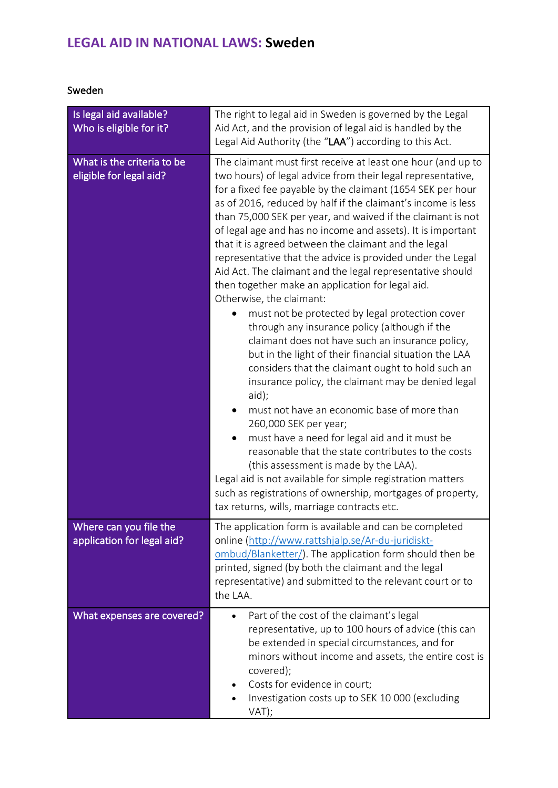## **LEGAL AID IN NATIONAL LAWS: Sweden**

Sweden

| Is legal aid available?<br>Who is eligible for it?    | The right to legal aid in Sweden is governed by the Legal<br>Aid Act, and the provision of legal aid is handled by the<br>Legal Aid Authority (the "LAA") according to this Act.                                                                                                                                                                                                                                                                                                                                                                                                                                                                                                                                                                                                                                                                                                                                                                                                                                                                                                                                                                                                                                                                                                                                                                                                                   |
|-------------------------------------------------------|----------------------------------------------------------------------------------------------------------------------------------------------------------------------------------------------------------------------------------------------------------------------------------------------------------------------------------------------------------------------------------------------------------------------------------------------------------------------------------------------------------------------------------------------------------------------------------------------------------------------------------------------------------------------------------------------------------------------------------------------------------------------------------------------------------------------------------------------------------------------------------------------------------------------------------------------------------------------------------------------------------------------------------------------------------------------------------------------------------------------------------------------------------------------------------------------------------------------------------------------------------------------------------------------------------------------------------------------------------------------------------------------------|
| What is the criteria to be<br>eligible for legal aid? | The claimant must first receive at least one hour (and up to<br>two hours) of legal advice from their legal representative,<br>for a fixed fee payable by the claimant (1654 SEK per hour<br>as of 2016, reduced by half if the claimant's income is less<br>than 75,000 SEK per year, and waived if the claimant is not<br>of legal age and has no income and assets). It is important<br>that it is agreed between the claimant and the legal<br>representative that the advice is provided under the Legal<br>Aid Act. The claimant and the legal representative should<br>then together make an application for legal aid.<br>Otherwise, the claimant:<br>must not be protected by legal protection cover<br>through any insurance policy (although if the<br>claimant does not have such an insurance policy,<br>but in the light of their financial situation the LAA<br>considers that the claimant ought to hold such an<br>insurance policy, the claimant may be denied legal<br>aid);<br>must not have an economic base of more than<br>260,000 SEK per year;<br>must have a need for legal aid and it must be<br>reasonable that the state contributes to the costs<br>(this assessment is made by the LAA).<br>Legal aid is not available for simple registration matters<br>such as registrations of ownership, mortgages of property,<br>tax returns, wills, marriage contracts etc. |
| Where can you file the<br>application for legal aid?  | The application form is available and can be completed<br>online (http://www.rattshjalp.se/Ar-du-juridiskt-<br>ombud/Blanketter/). The application form should then be<br>printed, signed (by both the claimant and the legal<br>representative) and submitted to the relevant court or to<br>the LAA.                                                                                                                                                                                                                                                                                                                                                                                                                                                                                                                                                                                                                                                                                                                                                                                                                                                                                                                                                                                                                                                                                             |
| What expenses are covered?                            | Part of the cost of the claimant's legal<br>representative, up to 100 hours of advice (this can<br>be extended in special circumstances, and for<br>minors without income and assets, the entire cost is<br>covered);<br>Costs for evidence in court;<br>Investigation costs up to SEK 10 000 (excluding<br>VAT);                                                                                                                                                                                                                                                                                                                                                                                                                                                                                                                                                                                                                                                                                                                                                                                                                                                                                                                                                                                                                                                                                  |